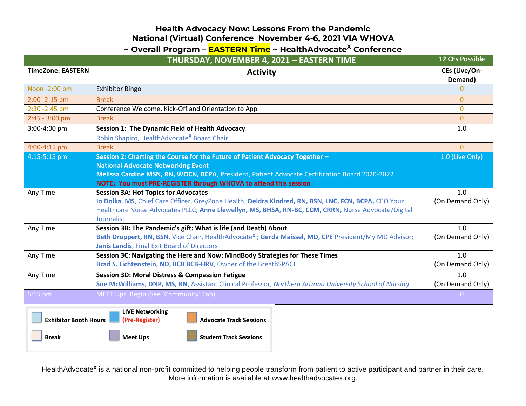### **Health Advocacy Now: Lessons From the Pandemic National (Virtual) Conference November 4-6, 2021 VIA WHOVA**

## **~ Overall Program – EASTERN Time ~ HealthAdvocate<sup>X</sup> Conference**

|                                                                                                            | THURSDAY, NOVEMBER 4, 2021 - EASTERN TIME                                                                                                           | <b>12 CEs Possible</b>   |  |
|------------------------------------------------------------------------------------------------------------|-----------------------------------------------------------------------------------------------------------------------------------------------------|--------------------------|--|
| <b>TimeZone: EASTERN</b>                                                                                   | <b>Activity</b>                                                                                                                                     | CEs (Live/On-<br>Demand) |  |
| Noon -2:00 pm                                                                                              | <b>Exhibitor Bingo</b>                                                                                                                              | 0                        |  |
| 2:00 - 2:15 pm                                                                                             | <b>Break</b>                                                                                                                                        | $\overline{0}$           |  |
| 2:30 - 2:45 pm                                                                                             | Conference Welcome, Kick-Off and Orientation to App                                                                                                 | $\mathbf{0}$             |  |
| $2:45 - 3:00$ pm                                                                                           | <b>Break</b>                                                                                                                                        | $\Omega$                 |  |
| 3:00-4:00 pm                                                                                               | Session 1: The Dynamic Field of Health Advocacy                                                                                                     | 1.0                      |  |
|                                                                                                            | Robin Shapiro, HealthAdvocate <sup>x</sup> Board Chair                                                                                              |                          |  |
| 4:00-4:15 pm                                                                                               | <b>Break</b>                                                                                                                                        | $\Omega$                 |  |
| 4:15-5:15 pm                                                                                               | Session 2: Charting the Course for the Future of Patient Advocacy Together -                                                                        | 1.0 (Live Only)          |  |
|                                                                                                            | <b>National Advocate Networking Event</b>                                                                                                           |                          |  |
|                                                                                                            | Melissa Cardine MSN, RN, WOCN, BCPA, President, Patient Advocate Certification Board 2020-2022                                                      |                          |  |
|                                                                                                            | NOTE: You must PRE-REGISTER through WHOVA to attend this session                                                                                    |                          |  |
| Any Time                                                                                                   | <b>Session 3A: Hot Topics for Advocates</b><br>Io Dolka, MS, Chief Care Officer, GreyZone Health; Deidra Kindred, RN, BSN, LNC, FCN, BCPA, CEO Your | 1.0<br>(On Demand Only)  |  |
|                                                                                                            | Healthcare Nurse Advocates PLLC; Anne Llewellyn, MS, BHSA, RN-BC, CCM, CRRN, Nurse Advocate/Digital<br>Journalist                                   |                          |  |
| Any Time                                                                                                   | Session 3B: The Pandemic's gift: What is life (and Death) About                                                                                     | 1.0                      |  |
|                                                                                                            | Beth Droppert, RN, BSN, Vice Chair, HealthAdvocate <sup>x</sup> ; Gerda Maissel, MD, CPE President/My MD Advisor;                                   | (On Demand Only)         |  |
|                                                                                                            | <b>Janis Landis, Final Exit Board of Directors</b>                                                                                                  |                          |  |
| Any Time                                                                                                   | Session 3C: Navigating the Here and Now: MindBody Strategies for These Times                                                                        | 1.0                      |  |
|                                                                                                            | Brad S. Lichtenstein, ND, BCB BCB-HRV, Owner of the BreathSPACE                                                                                     | (On Demand Only)         |  |
| Any Time                                                                                                   | <b>Session 3D: Moral Distress &amp; Compassion Fatigue</b>                                                                                          | 1.0                      |  |
|                                                                                                            | Sue McWilliams, DNP, MS, RN, Assistant Clinical Professor, Northern Arizona University School of Nursing                                            | (On Demand Only)         |  |
| 5:15 pm                                                                                                    | MEET Ups Begin (See 'Community' Tab)                                                                                                                | $\Omega$                 |  |
| <b>LIVE Networking</b><br><b>Exhibitor Booth Hours</b><br>(Pre-Register)<br><b>Advocate Track Sessions</b> |                                                                                                                                                     |                          |  |
| <b>Break</b>                                                                                               | <b>Meet Ups</b><br><b>Student Track Sessions</b>                                                                                                    |                          |  |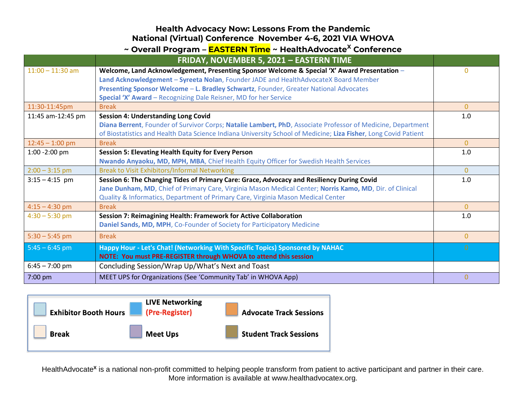#### **Health Advocacy Now: Lessons From the Pandemic National (Virtual) Conference November 4-6, 2021 VIA WHOVA**

| ~ Overall Program – <b>EASTERN Time</b> ~ HealthAdvocate <sup>X</sup> Conference |                                                                                                                                                                                                                                                                                                                                                  |                |  |
|----------------------------------------------------------------------------------|--------------------------------------------------------------------------------------------------------------------------------------------------------------------------------------------------------------------------------------------------------------------------------------------------------------------------------------------------|----------------|--|
|                                                                                  | FRIDAY, NOVEMBER 5, 2021 - EASTERN TIME                                                                                                                                                                                                                                                                                                          |                |  |
| $11:00 - 11:30$ am                                                               | Welcome, Land Acknowledgement, Presenting Sponsor Welcome & Special 'X' Award Presentation -<br>Land Acknowledgement - Syreeta Nolan, Founder JADE and HealthAdvocateX Board Member<br>Presenting Sponsor Welcome - L. Bradley Schwartz, Founder, Greater National Advocates<br>Special 'X' Award - Recognizing Dale Reisner, MD for her Service | $\Omega$       |  |
| 11:30-11:45pm                                                                    | <b>Break</b>                                                                                                                                                                                                                                                                                                                                     | $\overline{0}$ |  |
| 11:45 am-12:45 pm                                                                | <b>Session 4: Understanding Long Covid</b><br>Diana Berrent, Founder of Survivor Corps; Natalie Lambert, PhD, Associate Professor of Medicine, Department<br>of Biostatistics and Health Data Science Indiana University School of Medicine; Liza Fisher, Long Covid Patient                                                                     | 1.0            |  |
| $12:45 - 1:00$ pm                                                                | <b>Break</b>                                                                                                                                                                                                                                                                                                                                     | $\overline{0}$ |  |
| $1:00 - 2:00$ pm                                                                 | <b>Session 5: Elevating Health Equity for Every Person</b><br>Nwando Anyaoku, MD, MPH, MBA, Chief Health Equity Officer for Swedish Health Services                                                                                                                                                                                              | 1.0            |  |
| $2:00 - 3:15$ pm                                                                 | <b>Break to Visit Exhibitors/Informal Networking</b>                                                                                                                                                                                                                                                                                             | $\Omega$       |  |
| $3:15 - 4:15$ pm                                                                 | Session 6: The Changing Tides of Primary Care: Grace, Advocacy and Resiliency During Covid<br>Jane Dunham, MD, Chief of Primary Care, Virginia Mason Medical Center; Norris Kamo, MD, Dir. of Clinical<br>Quality & Informatics, Department of Primary Care, Virginia Mason Medical Center                                                       | 1.0            |  |
| $4:15 - 4:30$ pm                                                                 | <b>Break</b>                                                                                                                                                                                                                                                                                                                                     | $\Omega$       |  |
| $4:30 - 5:30$ pm                                                                 | Session 7: Reimagining Health: Framework for Active Collaboration<br>Daniel Sands, MD, MPH, Co-Founder of Society for Participatory Medicine                                                                                                                                                                                                     | 1.0            |  |
| $5:30 - 5:45$ pm                                                                 | <b>Break</b>                                                                                                                                                                                                                                                                                                                                     | $\overline{0}$ |  |
| $5:45 - 6:45$ pm                                                                 | Happy Hour - Let's Chat! (Networking With Specific Topics) Sponsored by NAHAC<br>NOTE: You must PRE-REGISTER through WHOVA to attend this session                                                                                                                                                                                                | $\Omega$       |  |
| $6:45 - 7:00$ pm                                                                 | Concluding Session/Wrap Up/What's Next and Toast                                                                                                                                                                                                                                                                                                 |                |  |
| 7:00 pm                                                                          | MEET UPS for Organizations (See 'Community Tab' in WHOVA App)                                                                                                                                                                                                                                                                                    | $\overline{0}$ |  |

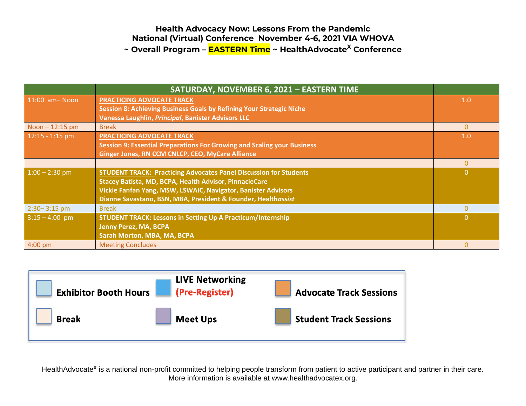#### **Health Advocacy Now: Lessons From the Pandemic National (Virtual) Conference November 4-6, 2021 VIA WHOVA ~ Overall Program – EASTERN Time ~ HealthAdvocate<sup>X</sup> Conference**

|                     | SATURDAY, NOVEMBER 6, 2021 - EASTERN TIME                                |          |
|---------------------|--------------------------------------------------------------------------|----------|
| $11:00$ am $-$ Noon | <b>PRACTICING ADVOCATE TRACK</b>                                         | 1.0      |
|                     | Session 8: Achieving Business Goals by Refining Your Strategic Niche     |          |
|                     | Vanessa Laughlin, Principal, Banister Advisors LLC                       |          |
| Noon $-12:15$ pm    | <b>Break</b>                                                             | $\Omega$ |
| $12:15 - 1:15$ pm   | PRACTICING ADVOCATE TRACK                                                | 1.0      |
|                     | Session 9: Essential Preparations For Growing and Scaling your Business  |          |
|                     | Ginger Jones, RN CCM CNLCP, CEO, MyCare Alliance                         |          |
|                     |                                                                          |          |
| $1:00 - 2:30$ pm    | <b>STUDENT TRACK: Practicing Advocates Panel Discussion for Students</b> | $\Omega$ |
|                     | Stacey Batista, MD, BCPA, Health Advisor, PinnacleCare                   |          |
|                     | Vickie Fanfan Yang, MSW, LSWAIC, Navigator, Banister Advisors            |          |
|                     | Dianne Savastano, BSN, MBA, President & Founder, Healthassist            |          |
| $2:30 - 3:15$ pm    | <b>Break</b>                                                             |          |
| $3:15 - 4:00$ pm    | <b>STUDENT TRACK: Lessons in Setting Up A Practicum/Internship</b>       | 0        |
|                     | <b>Jenny Perez, MA, BCPA</b>                                             |          |
|                     | Sarah Morton, MBA, MA, BCPA                                              |          |
| 4:00 pm             | <b>Meeting Concludes</b>                                                 |          |